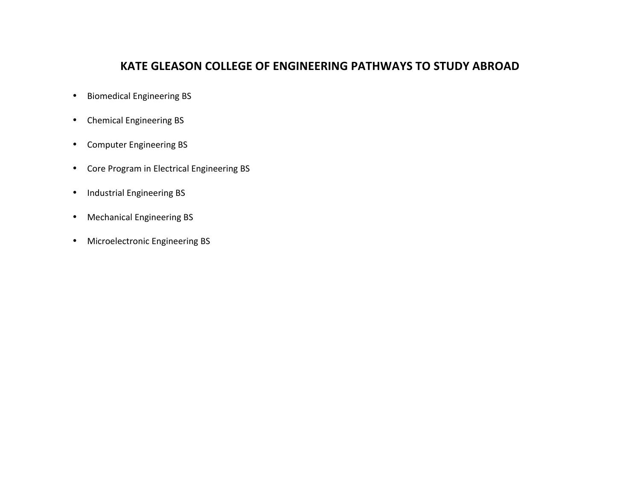# **KATE GLEASON COLLEGE OF ENGINEERING PATHWAYS TO STUDY ABROAD**

- <span id="page-0-0"></span>• Biomedical Engineering BS
- Chemical Engineering BS
- Computer Engineering BS
- Core Program in Electrical Engineering BS
- Industrial Engineering BS
- Mechanical [Engineering](#page-6-0) BS
- Microelectronic Engineering BS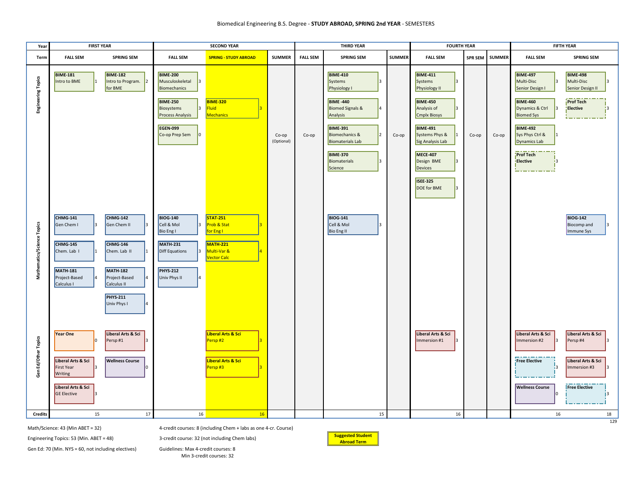#### Biomedical Engineering B.S. Degree - **STUDY ABROAD, SPRING 2nd YEAR** - SEMESTERS

<span id="page-1-0"></span>

| Year                       | <b>FIRST YEAR</b>                                                                                                      |                                                                                                                                                        | <b>SECOND YEAR</b>                                                                                                                                                         |                                                                                                     |                     | <b>THIRD YEAR</b> |                                                                                                                                                                                                                                |               | <b>FOURTH YEAR</b>                                                                                                                                                                                                                          |                | <b>FIFTH YEAR</b> |                                                                                                                                                                                                                 |                                                                                                        |
|----------------------------|------------------------------------------------------------------------------------------------------------------------|--------------------------------------------------------------------------------------------------------------------------------------------------------|----------------------------------------------------------------------------------------------------------------------------------------------------------------------------|-----------------------------------------------------------------------------------------------------|---------------------|-------------------|--------------------------------------------------------------------------------------------------------------------------------------------------------------------------------------------------------------------------------|---------------|---------------------------------------------------------------------------------------------------------------------------------------------------------------------------------------------------------------------------------------------|----------------|-------------------|-----------------------------------------------------------------------------------------------------------------------------------------------------------------------------------------------------------------|--------------------------------------------------------------------------------------------------------|
| Term                       | <b>FALL SEM</b>                                                                                                        | <b>SPRING SEM</b>                                                                                                                                      | <b>FALL SEM</b>                                                                                                                                                            | <b>SPRING - STUDY ABROAD</b>                                                                        | <b>SUMMER</b>       | <b>FALL SEM</b>   | <b>SPRING SEM</b>                                                                                                                                                                                                              | <b>SUMMER</b> | <b>FALL SEM</b>                                                                                                                                                                                                                             | <b>SPR SEM</b> | <b>SUMMER</b>     | <b>FALL SEM</b>                                                                                                                                                                                                 | <b>SPRING SEM</b>                                                                                      |
| <b>Engineering Topics</b>  | <b>BIME-181</b><br>Intro to BME                                                                                        | <b>BIME-182</b><br>Intro to Program.<br>for BME                                                                                                        | <b>BIME-200</b><br>Musculoskeletal<br>13.<br>Biomechanics<br><b>BIME-250</b><br>Biosystems<br>3<br>Process Analysis<br><b>EGEN-099</b><br>Co-op Prep Sem<br>$\overline{0}$ | <b>BIME-320</b><br>Fluid<br><b>Mechanics</b>                                                        | Co-op<br>(Optional) | Co-op             | <b>BIME-410</b><br>Systems<br>Physiology I<br><b>BIME -440</b><br><b>Biomed Signals &amp;</b><br>Analysis<br><b>BIME-391</b><br>Biomechanics &<br><b>Biomaterials Lab</b><br><b>BIME-370</b><br><b>Biomaterials</b><br>Science | Co-op         | <b>BIME-411</b><br>Systems<br>Physiology II<br><b>BIME-450</b><br>Analysis of<br><b>Cmplx Biosys</b><br><b>BIME-491</b><br>Systems Phys &<br>Sig Analysis Lab<br><b>MECE-407</b><br>Design BME<br>Devices<br><b>ISEE-325</b><br>DOE for BME | Co-op          | Co-op             | <b>BIME-497</b><br>Multi-Disc<br>Senior Design I<br><b>BIME-460</b><br>Dynamics & Ctrl<br><b>Biomed Sys</b><br><b>BIME-492</b><br>Sys Phys Ctrl &<br><b>Dynamics Lab</b><br><b>Prof Tech</b><br><b>Elective</b> | <b>BIME-498</b><br>Multi-Disc<br>Senior Design II<br><b>Prof Tech</b><br>Elective<br>13                |
| Mathematics/Science Topics | CHMG-141<br>Gen Chem I<br><b>CHMG-145</b><br>Chem. Lab I<br><b>MATH-181</b><br>Project-Based<br>Calculus I             | <b>CHMG-142</b><br>Gen Chem II<br><b>CHMG-146</b><br>Chem. Lab II<br><b>MATH-182</b><br>Project-Based<br>Calculus II<br><b>PHYS-211</b><br>Univ Phys I | <b>BIOG-140</b><br>Cell & Mol<br>3<br>Bio Eng I<br><b>MATH-231</b><br><b>Diff Equations</b><br>l3<br><b>PHYS-212</b><br>Univ Phys II<br>4                                  | <b>STAT-251</b><br>Prob & Stat<br>for Eng I<br><b>MATH-221</b><br>Multi-Var &<br><b>Vector Calc</b> |                     |                   | <b>BIOG-141</b><br>Cell & Mol<br><b>Bio Eng II</b>                                                                                                                                                                             |               |                                                                                                                                                                                                                                             |                |                   |                                                                                                                                                                                                                 | <b>BIOG-142</b><br>Biocomp and<br>Immune Sys                                                           |
| Gen Ed/Other Topics        | Year One<br>Liberal Arts & Sci<br><b>First Year</b><br>l3<br>Writing<br>Liberal Arts & Sci<br><b>GE Elective</b><br>l٦ | Liberal Arts & Sci<br>Persp#1<br><b>Wellness Course</b>                                                                                                |                                                                                                                                                                            | Liberal Arts & Sci<br>Persp#2<br>Liberal Arts & Sci<br>Persp#3                                      |                     |                   |                                                                                                                                                                                                                                |               | Liberal Arts & Sci<br>Immersion #1<br>lз                                                                                                                                                                                                    |                |                   | Liberal Arts & Sci<br>Immersion #2<br><b>Free Elective</b><br>13<br><b>Wellness Course</b>                                                                                                                      | Liberal Arts & Sci<br>Persp#4<br>R<br>Liberal Arts & Sci<br>Immersion #3<br>l3<br><b>Free Elective</b> |
| <b>Credits</b>             | 15                                                                                                                     | 17                                                                                                                                                     | 16                                                                                                                                                                         | 16                                                                                                  |                     |                   | 15                                                                                                                                                                                                                             |               | 16                                                                                                                                                                                                                                          |                |                   | 16                                                                                                                                                                                                              | 18<br>129                                                                                              |

Math/Science: 43 (Min ABET = 32) [4-credit courses: 8 \(including Chem + labs as one 4-cr. Course\)](#page-0-0)

Engineering Topics: 53 (Min. ABET = 48) 3-credit course: 32 (not including Chem labs) **Suggested Student** 



Gen Ed: 70 (Min. NYS = 60, not including electives) Guidelines: Max 4-credit courses: 8

Min 3-credit courses: 32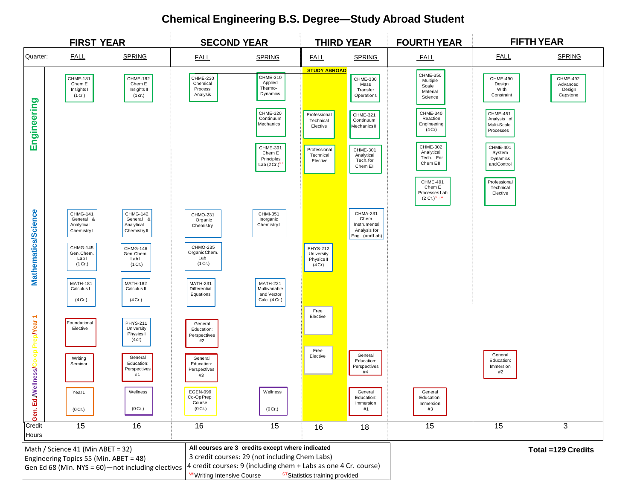# **[Chemical Engineering B.S. Degree—Study Abroad Student](#page-0-0)**

<span id="page-2-0"></span>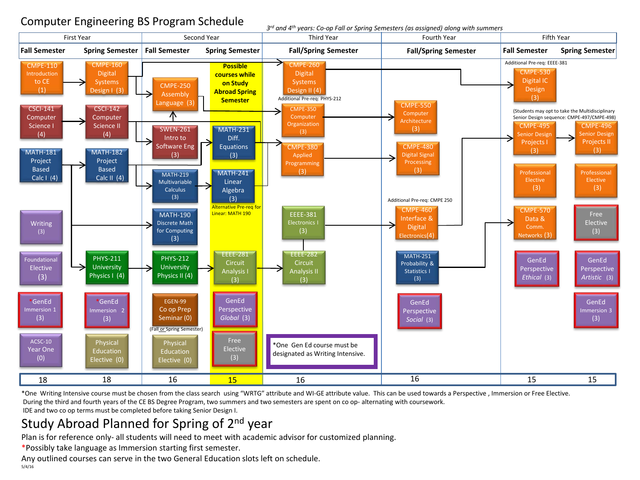# <span id="page-3-0"></span>Computer Engineering BS Program Schedule

*3rd and 4th years: Co-op Fall or Spring Semesters (as assigned) along with summers*



\*One Writing Intensive course must be chosen from the class search using "WRTG" attribute and WI-GE attribute value. This can be used towards a Perspective , Immersion or Free Elective. During the third and fourth years of the CE BS Degree Program, two summers and two semesters are spent on co op- alternating with coursework. IDE and two co op terms must be completed before taking Senior Design I.

# Study Abroad Planned for Spring of 2<sup>nd</sup> year

Plan is for reference only- all students will need to meet with academic advisor for customized planning.

\*Possibly take language as Immersion starting first semester.

Any outlined courses can serve in the two General Education slots left on schedule. 5/4/16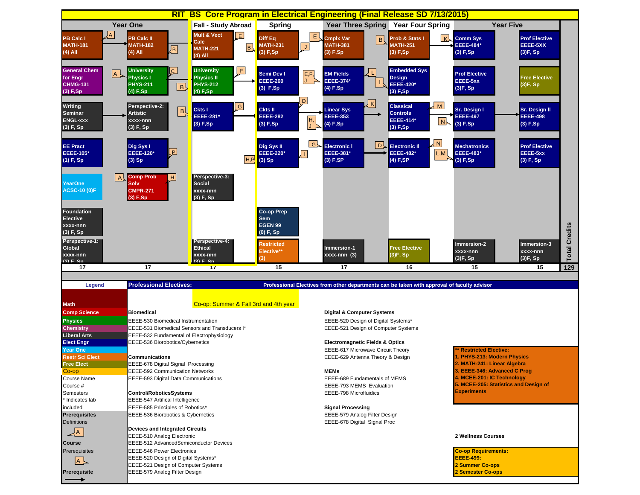<span id="page-4-0"></span>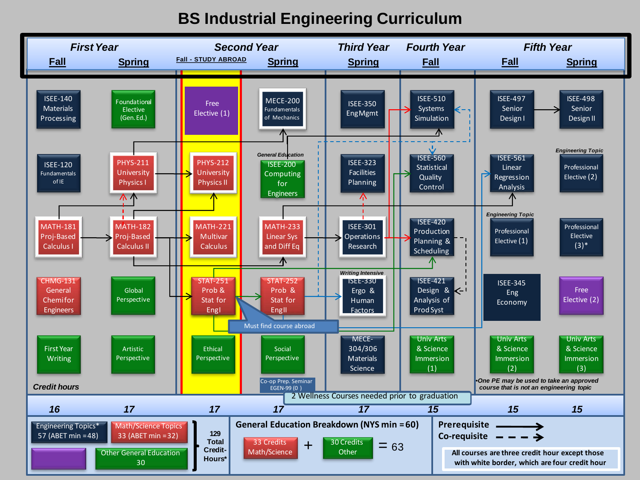# **[BS Industrial Engineering](#page-0-0) Curriculum**

<span id="page-5-0"></span>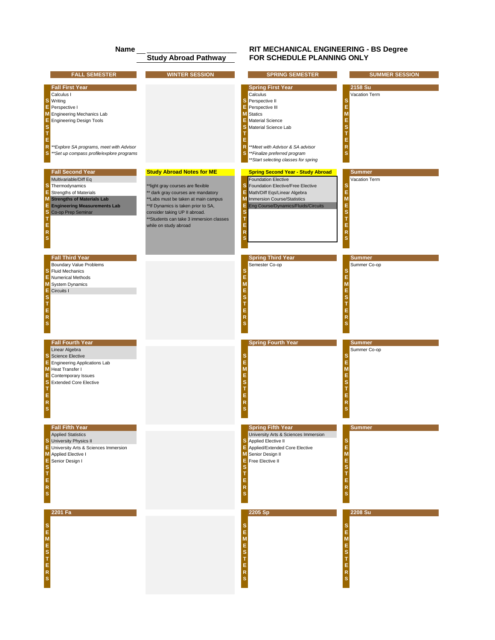### **Name** \_\_\_\_\_\_\_\_\_\_\_\_\_\_\_\_\_\_\_\_\_\_ **[RIT MECHANICAL ENGINEERING - BS Degree](#page-0-0) FOR SCHEDULE PLANNING ONLY**

<span id="page-6-0"></span>

|                                                  | <b>FALL SEMESTER</b>                                                                                                                                                                                                                 | <b>WINTER SESSION</b>                                                                                                                                                                                                                                                                          | <b>SPRING SEMESTER</b>                                                                                                                                                                                                                                                                          | <b>SUMMER SESSION</b>                                                               |
|--------------------------------------------------|--------------------------------------------------------------------------------------------------------------------------------------------------------------------------------------------------------------------------------------|------------------------------------------------------------------------------------------------------------------------------------------------------------------------------------------------------------------------------------------------------------------------------------------------|-------------------------------------------------------------------------------------------------------------------------------------------------------------------------------------------------------------------------------------------------------------------------------------------------|-------------------------------------------------------------------------------------|
| E<br>Е<br>S<br>T<br>E<br>$\overline{R}$<br>s     | <b>Fall First Year</b><br>Calculus I<br><b>S</b> Writing<br>Perspective I<br>M Engineering Mechanics Lab<br><b>Engineering Design Tools</b><br>**Explore SA programs, meet with Advisor<br>**Set up compass profile/explore programs |                                                                                                                                                                                                                                                                                                | <b>Spring First Year</b><br>Calculus<br>s<br>Perspective II<br>Е<br>Perspective III<br><b>M</b> Statics<br>Е<br>Material Science<br>Material Science Lab<br>Е<br>$\mathsf{R}$<br>**Meet with Advisor & SA advisor<br>s<br>**Finalize preferred program<br>** Start selecting classes for spring | 2158 Su<br>Vacation Term<br>s<br>E<br>M<br>E<br>s<br>E<br>R                         |
| s<br>E<br>M<br>Е<br>s<br>т<br>Е<br>$\frac{R}{S}$ | <b>Fall Second Year</b><br>Multivariable/Diff Eq<br>Thermodynamics<br><b>Strengths of Materials</b><br><b>Strengths of Materials Lab</b><br><b>Engineering Measurements Lab</b><br>Co-op Prep Seminar                                | <b>Study Abroad Notes for ME</b><br>**light gray courses are flexible<br>** dark gray courses are mandatory<br>**Labs must be taken at main campus<br>**If Dynamics is taken prior to SA,<br>consider taking UP II abroad.<br>**Students can take 3 immersion classes<br>while on study abroad | <b>Spring Second Year - Study Abroad</b><br><b>Foundation Elective</b><br>Foundation Elective/Free Elective<br>s<br>E<br>Math/Diff Eqs/Linear Algebra<br>M<br><b>Immersion Course/Statistics</b><br>Е<br>Eng Course/Dynamics/Fluids/Circuits<br>s<br>т<br>E<br>R<br>s                           | <b>Summer</b><br>Vacation Term<br>s<br>E<br>M<br>E<br>s<br>T<br>E<br>${\sf R}$<br>s |
| Е<br>M<br>Ε<br>s<br>T<br>E<br>$\frac{R}{S}$      | <b>Fall Third Year</b><br><b>Boundary Value Problems</b><br><b>S</b> Fluid Mechanics<br>Numerical Methods<br><b>System Dynamics</b><br>Circuits I                                                                                    |                                                                                                                                                                                                                                                                                                | <b>Spring Third Year</b><br>Semester Co-op<br>s<br>M<br>E<br>s<br>E<br>R<br>s                                                                                                                                                                                                                   | <b>Summer</b><br>Summer Co-op<br>s<br>E<br>M<br>E<br>s<br>Е<br>R                    |
| Е<br>Е<br>S<br>Ţ<br>E <sub>R</sub> S             | <b>Fall Fourth Year</b><br>Linear Algebra<br><b>Science Elective</b><br><b>Engineering Applications Lab</b><br>M Heat Transfer I<br>Contemporary Issues<br><b>Extended Core Elective</b>                                             |                                                                                                                                                                                                                                                                                                | <b>Spring Fourth Year</b><br>M<br>E<br>s<br>E<br>R                                                                                                                                                                                                                                              | <b>Summer</b><br>Summer Co-op<br>s<br>E<br>M<br>E<br>s<br>E<br>R                    |
| Ε<br><b>STERS</b>                                | <b>Fall Fifth Year</b><br><b>Applied Statistics</b><br><b>S</b> University Physics II<br>E University Arts & Sciences Immersion<br>M Applied Elective I<br>Senior Design I                                                           |                                                                                                                                                                                                                                                                                                | <b>Spring Fifth Year</b><br>University Arts & Sciences Immersion<br>Applied Elective II<br>s<br>Е<br>Applied/Extended Core Elective<br>M<br>Senior Design II<br>Free Elective II<br>E<br>R<br>s                                                                                                 | <b>Summer</b><br>s<br>E<br>M<br>E<br>s<br>E<br>R                                    |
| S<br>E<br>M<br>E<br>S<br>T<br>E<br>R<br>S        | 2201 Fa                                                                                                                                                                                                                              |                                                                                                                                                                                                                                                                                                | 2205 Sp<br>s<br>Е<br>M<br>E<br>s<br>E<br>R                                                                                                                                                                                                                                                      | 2208 Su<br>s<br>E<br>M<br>E<br>s<br>E<br>R                                          |